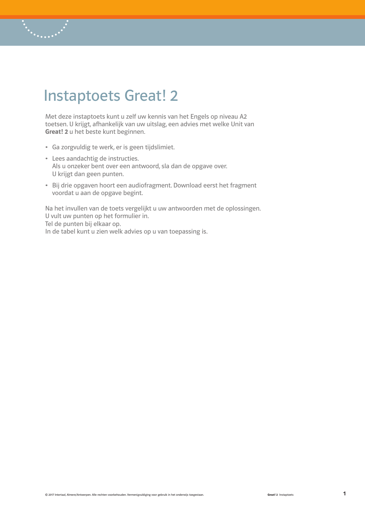# Instaptoets Great! 2

Met deze instaptoets kunt u zelf uw kennis van het Engels op niveau A2 toetsen. U krijgt, afhankelijk van uw uitslag, een advies met welke Unit van Great! 2 u het beste kunt beginnen.

- Ga zorgvuldig te werk, er is geen tijdslimiet.
- Lees aandachtig de instructies. Als u onzeker bent over een antwoord, sla dan de opgave over. U krijgt dan geen punten.
- Bij drie opgaven hoort een audiofragment. Download eerst het fragment voordat u aan de opgave begint.

Na het invullen van de toets vergelijkt u uw antwoorden met de oplossingen. U vult uw punten op het formulier in. Tel de punten bij elkaar op. In de tabel kunt u zien welk advies op u van toepassing is.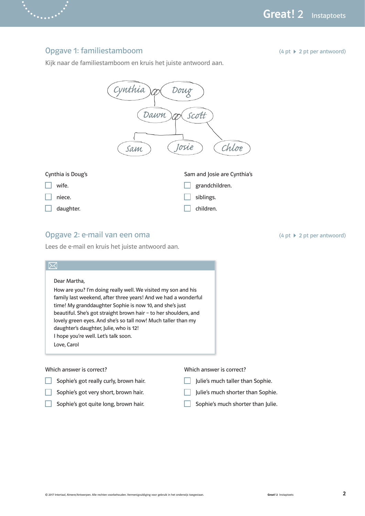#### Opgave 1: familiestamboom

 $(4 \text{ pt} \geq 2 \text{ pt} \text{ per} \text{ antwoord})$ 

 $(4 \text{ pt} \geq 2 \text{ pt} \text{ per} \text{ antwoord})$ 

Kijk naar de familiestamboom en kruis het juiste antwoord aan.



### Opgave 2: e-mail van een oma

Lees de e-mail en kruis het juiste antwoord aan.

| How are you? I'm doing really well. We visited my son and his<br>family last weekend, after three years! And we had a wonderful<br>time! My granddaughter Sophie is now 10, and she's just<br>beautiful. She's got straight brown hair - to her shoulders, and<br>lovely green eyes. And she's so tall now! Much taller than my |
|---------------------------------------------------------------------------------------------------------------------------------------------------------------------------------------------------------------------------------------------------------------------------------------------------------------------------------|
|                                                                                                                                                                                                                                                                                                                                 |
|                                                                                                                                                                                                                                                                                                                                 |
|                                                                                                                                                                                                                                                                                                                                 |
|                                                                                                                                                                                                                                                                                                                                 |
|                                                                                                                                                                                                                                                                                                                                 |
| daughter's daughter, Julie, who is 12!                                                                                                                                                                                                                                                                                          |
| I hope you're well. Let's talk soon.                                                                                                                                                                                                                                                                                            |
| Love, Carol                                                                                                                                                                                                                                                                                                                     |

- Sophie's got really curly, brown hair.  $\Box$  Julie's much taller than Sophie.
- Sophie's got very short, brown hair.  $\Box$  Julie's much shorter than Sophie.
- Sophie's got quite long, brown hair. Sophie's much shorter than Julie.

- 
- 
-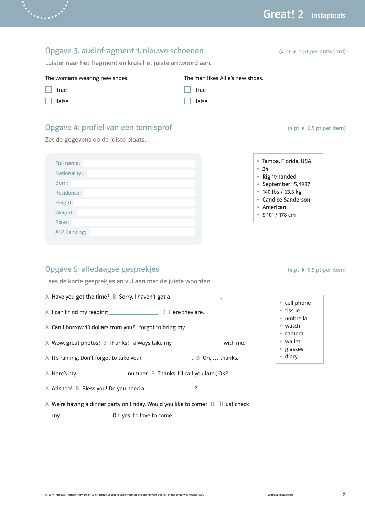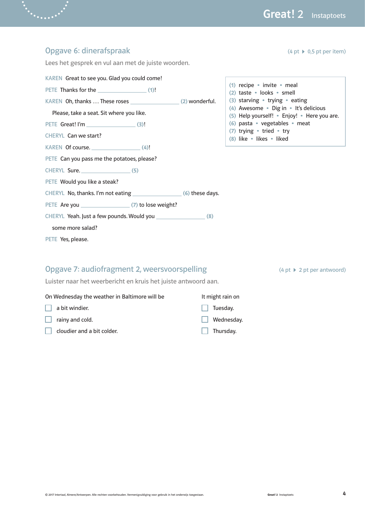$(4 \text{ pt} \geq 2 \text{ pt} \text{ per} \text{ antwoord})$ 

| Opgave 6: dinerafspraak                                                                                                                                              | $(4 \text{ pt} \rightarrow 0.5 \text{ pt} \text{ per item})$                                                                                                                                                                                                               |
|----------------------------------------------------------------------------------------------------------------------------------------------------------------------|----------------------------------------------------------------------------------------------------------------------------------------------------------------------------------------------------------------------------------------------------------------------------|
| Lees het gesprek en vul aan met de juiste woorden.                                                                                                                   |                                                                                                                                                                                                                                                                            |
| KAREN Great to see you. Glad you could come!<br>PETE Thanks for the (1)!<br>Please, take a seat. Sit where you like.<br>PETE Great! I'm (3)!<br>CHERYL Can we start? | (1) recipe • invite • meal<br>(2) taste · looks · smell<br>(3) starving • trying • eating<br>(4) Awesome • Dig in • It's delicious<br>(5) Help yourself! • Enjoy! • Here you are.<br>(6) pasta · vegetables · meat<br>(7) trying • tried • try<br>(8) like • likes • liked |
| $KAREN$ Of course. $(4)!$                                                                                                                                            |                                                                                                                                                                                                                                                                            |
| PETE Can you pass me the potatoes, please?                                                                                                                           |                                                                                                                                                                                                                                                                            |
| CHERYL Sure. (5)                                                                                                                                                     |                                                                                                                                                                                                                                                                            |
| PETE Would you like a steak?                                                                                                                                         |                                                                                                                                                                                                                                                                            |
|                                                                                                                                                                      |                                                                                                                                                                                                                                                                            |
| PETE Are you (7) to lose weight?                                                                                                                                     |                                                                                                                                                                                                                                                                            |
|                                                                                                                                                                      |                                                                                                                                                                                                                                                                            |
| some more salad?                                                                                                                                                     |                                                                                                                                                                                                                                                                            |
| PETE Yes, please.                                                                                                                                                    |                                                                                                                                                                                                                                                                            |
|                                                                                                                                                                      |                                                                                                                                                                                                                                                                            |

### Opgave 7: audiofragment 2, weersvoorspelling

 $\ddotsc$ 

Luister naar het weerbericht en kruis het juiste antwoord aan.

| On Wednesday the weather in Baltimore will be | It might rain on  |
|-----------------------------------------------|-------------------|
| $\Box$ a bit windier.                         | $\Box$ Tuesday.   |
| rainy and cold.<br>$\mathbf{I}$               | $\Box$ Wednesday. |
| cloudier and a bit colder.                    | $\Box$ Thursday.  |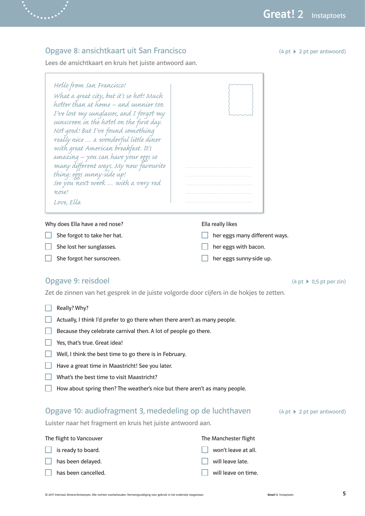### Opgave 8: ansichtkaart uit San Francisco

Lees de ansichtkaart en kruis het juiste antwoord aan.

| Hello from san Francisco!<br>What a great city, but it's so hot! Much<br>hotter than at home – and sunnier too.<br>I've lost my sunglasses, and I forgot my<br>sunscreen in the hotel on the first day.<br>Not good! But I've found something<br>really nice  a wonderful little diner<br>with great American breakfast. It's<br>amazing – you can have your eggs so<br>many different ways. My new favourite<br>thing: eggs sunny-side up!<br>see you next week  with a very red<br>nose!<br>Love, Ella |                                                                            |
|----------------------------------------------------------------------------------------------------------------------------------------------------------------------------------------------------------------------------------------------------------------------------------------------------------------------------------------------------------------------------------------------------------------------------------------------------------------------------------------------------------|----------------------------------------------------------------------------|
| Why does Ella have a red nose?<br>She forgot to take her hat.<br>She lost her sunglasses.                                                                                                                                                                                                                                                                                                                                                                                                                | Ella really likes<br>her eggs many different ways.<br>her eggs with bacon. |
| She forgot her sunscreen.                                                                                                                                                                                                                                                                                                                                                                                                                                                                                | her eggs sunny-side up.                                                    |

### Opgave 9: reisdoel

Zet de zinnen van het gesprek in de juiste volgorde door cijfers in de hokjes te zetten.

- $\Box$  Really? Why?
- $\Box$  Actually, I think I'd prefer to go there when there aren't as many people.
- $\Box$  Because they celebrate carnival then. A lot of people go there.
- $\Box$  Yes, that's true. Great idea!
- $\Box$  Well, I think the best time to go there is in February.
- $\Box$  Have a great time in Maastricht! See you later.
- $\Box$  What's the best time to visit Maastricht?
- $\Box$  How about spring then? The weather's nice but there aren't as many people.

#### Opgave 10: audiofragment 3, mededeling op de luchthaven (4 pt ▶ 2 pt per antwoord)

Luister naar het fragment en kruis het juiste antwoord aan.

| The flight to Vancouver    | The Manchester flight      |
|----------------------------|----------------------------|
| $\Box$ is ready to board.  | $\Box$ won't leave at all. |
| $\Box$ has been delayed.   | $\Box$ will leave late.    |
| $\Box$ has been cancelled. | $\Box$ will leave on time. |

 $(4 pt \rightarrow 2 pt per antwoord)$ 

 $(4 \text{ pt} \rightarrow 0.5 \text{ pt} \text{ per } \text{zin})$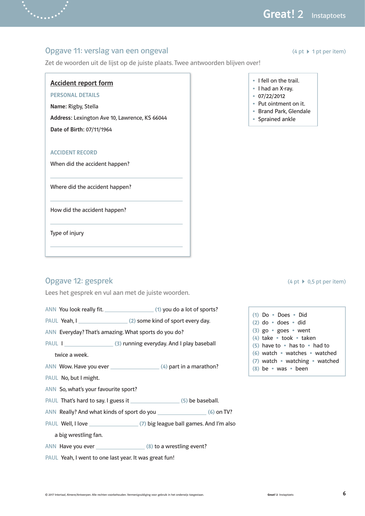$(4 \text{ pt} \cdot 1 \text{ pt} \cdot \text{ per item})$ 

#### Opgave 11: verslag van een ongeval

Zet de woorden uit de lijst op de juiste plaats. Twee antwoorden blijven over!

#### Accident report form

PERSONAL DETAILS

Name: Rigby, Stella

Address: Lexington Ave 10, Lawrence, KS 66044

Date of Birth: 07/11/1964

#### ACCIDENT RECORD

When did the accident happen?

Where did the accident happen?

How did the accident happen?

Type of injury

### Opgave 12: gesprek

Lees het gesprek en vul aan met de juiste woorden.

ANN You look really fit. (1) you do a lot of sports?

PAUL Yeah, I (2) some kind of sport every day.

ANN Everyday? That's amazing. What sports do you do?

PAUL I (3) running everyday. And I play baseball

twice a week.

 $AND$  Wow. Have you ever  $\sqrt{4}$  part in a marathon?

PAUL No, but I might.

ANN So, what's your favourite sport?

PAUL That's hard to say. I guess it (5) be baseball.

ANN Really? And what kinds of sport do you (6) on TV?

PAUL Well, I love (7) big league ball games. And I'm also

a big wrestling fan.

ANN Have you ever (8) to a wrestling event?

PAUL Yeah, I went to one last year. It was great fun!

- I fell on the trail.
- I had an X-ray.
- 07/22/2012
- Put ointment on it.
- Brand Park, Glendale
- Sprained ankle

 $(4 \text{ pt} \rightarrow 0.5 \text{ pt} \text{ per item})$ 

(1) Do • Does • Did (2) do • does • did (3) go • goes • went (4) take • took • taken (5) have to • has to • had to (6) watch • watches • watched (7) watch • watching • watched (8) be • was • been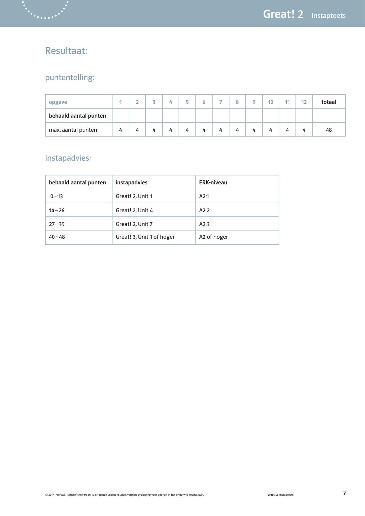## Resultaat:

### puntentelling:

| opgave                |   |   |   | Д. | $\sim$ |   | - |   | ۰ | 10 | 11 | 12 | totaal |
|-----------------------|---|---|---|----|--------|---|---|---|---|----|----|----|--------|
| behaald aantal punten |   |   |   |    |        |   |   |   |   |    |    |    |        |
| max. aantal punten    | 4 | 4 | 4 | 4  | 4      | 4 | 4 | 4 | 4 | 4  | 4  | 4  | 48     |

### instapadvies:

| behaald aantal punten | <b>instapadvies</b>       | <b>ERK-niveau</b>       |
|-----------------------|---------------------------|-------------------------|
| $0 - 13$              | Great! 2, Unit 1          | A2.1                    |
| $14 - 26$             | Great! 2, Unit 4          | A2.2                    |
| $27 - 39$             | Great! 2, Unit 7          | A2.3                    |
| $40 - 48$             | Great! 3, Unit 1 of hoger | A <sub>2</sub> of hoger |